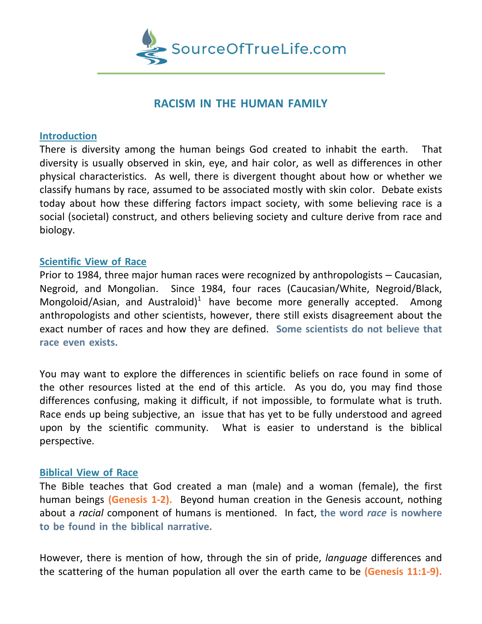

# **RACISM IN THE HUMAN FAMILY**

#### **Introduction**

There is diversity among the human beings God created to inhabit the earth. That diversity is usually observed in skin, eye, and hair color, as well as differences in other physical characteristics. As well, there is divergent thought about how or whether we classify humans by race, assumed to be associated mostly with skin color. Debate exists today about how these differing factors impact society, with some believing race is a social (societal) construct, and others believing society and culture derive from race and biology.

## **Scientific View of Race**

Prior to 1984, three major human races were recognized by anthropologists – Caucasian, Negroid, and Mongolian. Since 1984, four races (Caucasian/White, Negroid/Black, Mongoloid/Asian, and Australoid)<sup>1</sup> have become more generally accepted. Among anthropologists and other scientists, however, there still exists disagreement about the exact number of races and how they are defined. **Some scientists do not believe that race even exists.**

You may want to explore the differences in scientific beliefs on race found in some of the other resources listed at the end of this article. As you do, you may find those differences confusing, making it difficult, if not impossible, to formulate what is truth. Race ends up being subjective, an issue that has yet to be fully understood and agreed upon by the scientific community. What is easier to understand is the biblical perspective.

#### **Biblical View of Race**

The Bible teaches that God created a man (male) and a woman (female), the first human beings **(Genesis 1-2).** Beyond human creation in the Genesis account, nothing about a *racial* component of humans is mentioned. In fact, **the word** *race* **is nowhere to be found in the biblical narrative.**

However, there is mention of how, through the sin of pride, *language* differences and the scattering of the human population all over the earth came to be **(Genesis 11:1-9).**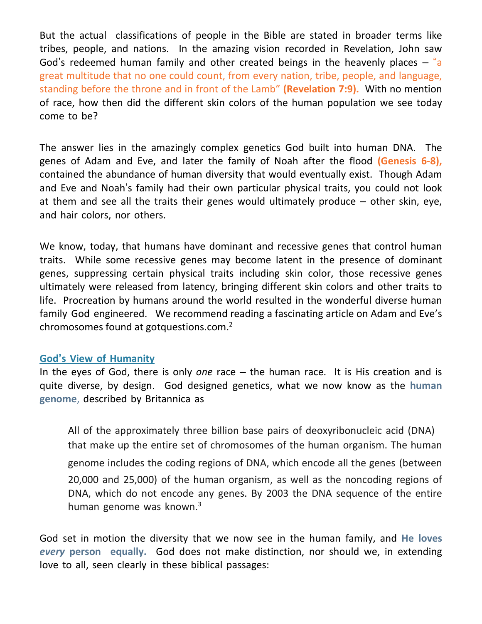But the actual classifications of people in the Bible are stated in broader terms like tribes, people, and nations. In the amazing vision recorded in Revelation, John saw God's redeemed human family and other created beings in the heavenly places  $-$  "a great multitude that no one could count, from every nation, tribe, people, and language, standing before the throne and in front of the Lamb" **(Revelation 7:9).** With no mention of race, how then did the different skin colors of the human population we see today come to be?

The answer lies in the amazingly complex genetics God built into human DNA. The genes of Adam and Eve, and later the family of Noah after the flood **(Genesis 6-8),** contained the abundance of human diversity that would eventually exist. Though Adam and Eve and Noah's family had their own particular physical traits, you could not look at them and see all the traits their genes would ultimately produce – other skin, eye, and hair colors, nor others.

We know, today, that humans have dominant and recessive genes that control human traits. While some recessive genes may become latent in the presence of dominant genes, suppressing certain physical traits including skin color, those recessive genes ultimately were released from latency, bringing different skin colors and other traits to life. Procreation by humans around the world resulted in the wonderful diverse human family God engineered. We recommend reading a fascinating article on Adam and Eve's chromosomes found at gotquestions.com. 2

#### **God's View of Humanity**

In the eyes of God, there is only *one* race – the human race. It is His creation and is quite diverse, by design. God designed genetics, what we now know as the **human genome**, described by Britannica as

All of the approximately three billion base pairs of deoxyribonucleic acid (DNA) that make up the entire set of chromosomes of the human organism. The human genome includes the coding regions of DNA, which encode all the genes (between 20,000 and 25,000) of the human organism, as well as the noncoding regions of DNA, which do not encode any genes. By 2003 the DNA sequence of the entire human genome was known.<sup>3</sup>

God set in motion the diversity that we now see in the human family, and **He loves** *every* **person equally.** God does not make distinction, nor should we, in extending love to all, seen clearly in these biblical passages: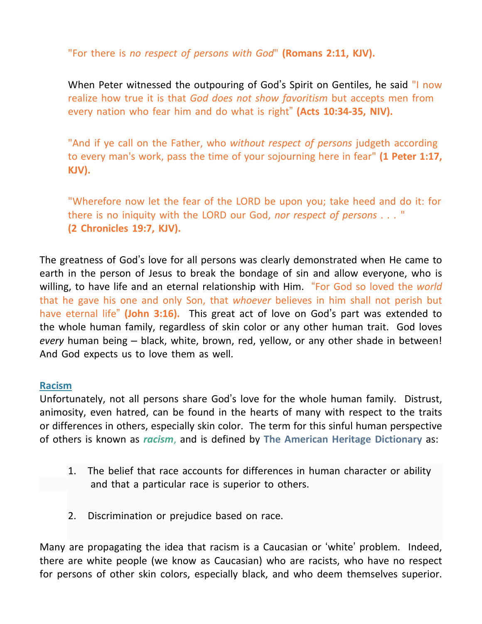"For there is *no respect of persons with God*" **(Romans 2:11, KJV).**

When Peter witnessed the outpouring of God's Spirit on Gentiles, he said "I now realize how true it is that *God does not show favoritism* but accepts men from every nation who fear him and do what is right" **(Acts 10:34-35, NIV).**

"And if ye call on the Father, who *without respect of persons* judgeth according to every man's work, pass the time of your sojourning here in fear" **(1 Peter 1:17, KJV).**

"Wherefore now let the fear of the LORD be upon you; take heed and do it: for there is no iniquity with the LORD our God, *nor respect of persons . . .* " **(2 Chronicles 19:7, KJV).**

The greatness of God's love for all persons was clearly demonstrated when He came to earth in the person of Jesus to break the bondage of sin and allow everyone, who is willing, to have life and an eternal relationship with Him. "For God so loved the *world* that he gave his one and only Son, that *whoever* believes in him shall not perish but have eternal life" **(John 3:16).** This great act of love on God's part was extended to the whole human family, regardless of skin color or any other human trait. God loves *every* human being – black, white, brown, red, yellow, or any other shade in between! And God expects us to love them as well.

## **Racism**

Unfortunately, not all persons share God's love for the whole human family. Distrust, animosity, even hatred, can be found in the hearts of many with respect to the traits or differences in others, especially skin color. The term for this sinful human perspective of others is known as *racism*, and is defined by **The American Heritage Dictionary** as:

- 1. The belief that race accounts for differences in human character or ability and that a particular race is superior to others.
- 2. Discrimination or prejudice based on race.

Many are propagating the idea that racism is a Caucasian or 'white' problem. Indeed, there are white people (we know as Caucasian) who are racists, who have no respect for persons of other skin colors, especially black, and who deem themselves superior.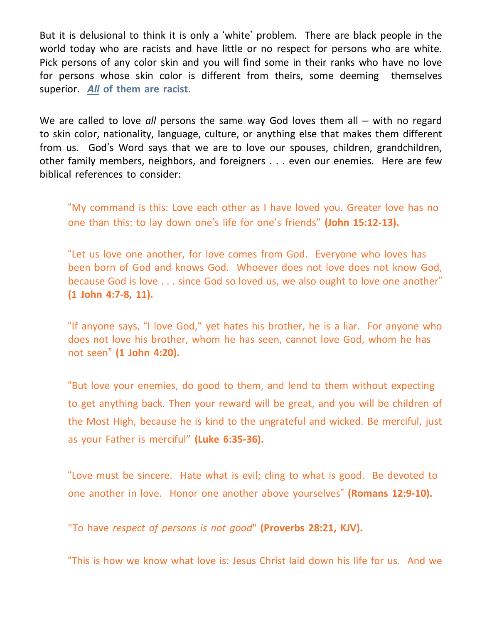But it is delusional to think it is only a 'white' problem. There are black people in the world today who are racists and have little or no respect for persons who are white. Pick persons of any color skin and you will find some in their ranks who have no love for persons whose skin color is different from theirs, some deeming themselves superior. *All* **of them are racist.**

We are called to love *all* persons the same way God loves them all – with no regard to skin color, nationality, language, culture, or anything else that makes them different from us. God's Word says that we are to love our spouses, children, grandchildren, other family members, neighbors, and foreigners . . . even our enemies. Here are few biblical references to consider:

"My command is this: Love each other as I have loved you. Greater love has no one than this: to lay down one's life for one's friends" **(John 15:12-13).**

"Let us love one another, for love comes from God. Everyone who loves has been born of God and knows God. Whoever does not love does not know God, because God is love . . . since God so loved us, we also ought to love one another" **(1 John 4:7-8, 11).**

"If anyone says, "I love God," yet hates his brother, he is a liar. For anyone who does not love his brother, whom he has seen, cannot love God, whom he has not seen" **(1 John 4:20).**

"But love your enemies, do good to them, and lend to them without expecting to get anything back. Then your reward will be great, and you will be children of the Most High, because he is kind to the ungrateful and wicked. Be merciful, just as your Father is merciful" **(Luke 6:35-36).**

"Love must be sincere. Hate what is evil; cling to what is good. Be devoted to one another in love. Honor one another above yourselves" **(Romans 12:9-10).**

"To have *respect of persons is not good*" **(Proverbs 28:21, KJV).**

"This is how we know what love is: Jesus Christ laid down his life for us. And we